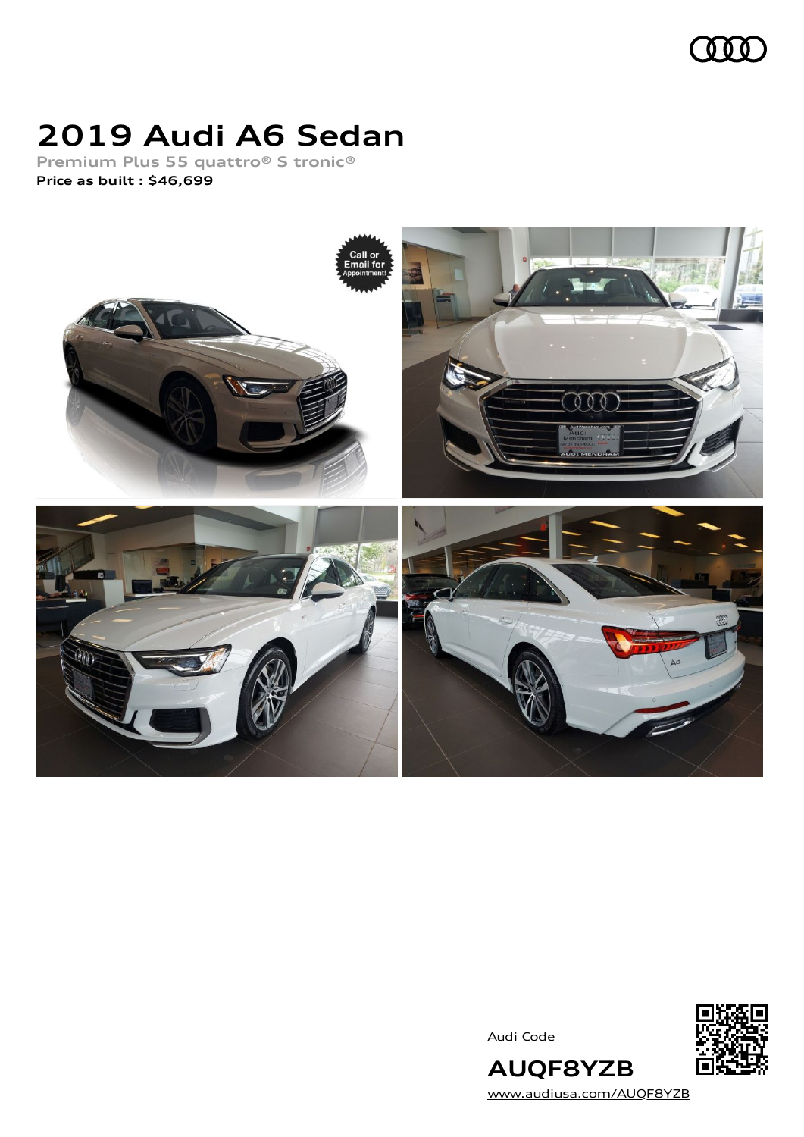

# **2019 Audi A6 Sedan**

**Premium Plus 55 quattro® S tronic® Price as built [:](#page-8-0) \$46,699**



Audi Code



**AUQF8YZB** [www.audiusa.com/AUQF8YZB](https://www.audiusa.com/AUQF8YZB)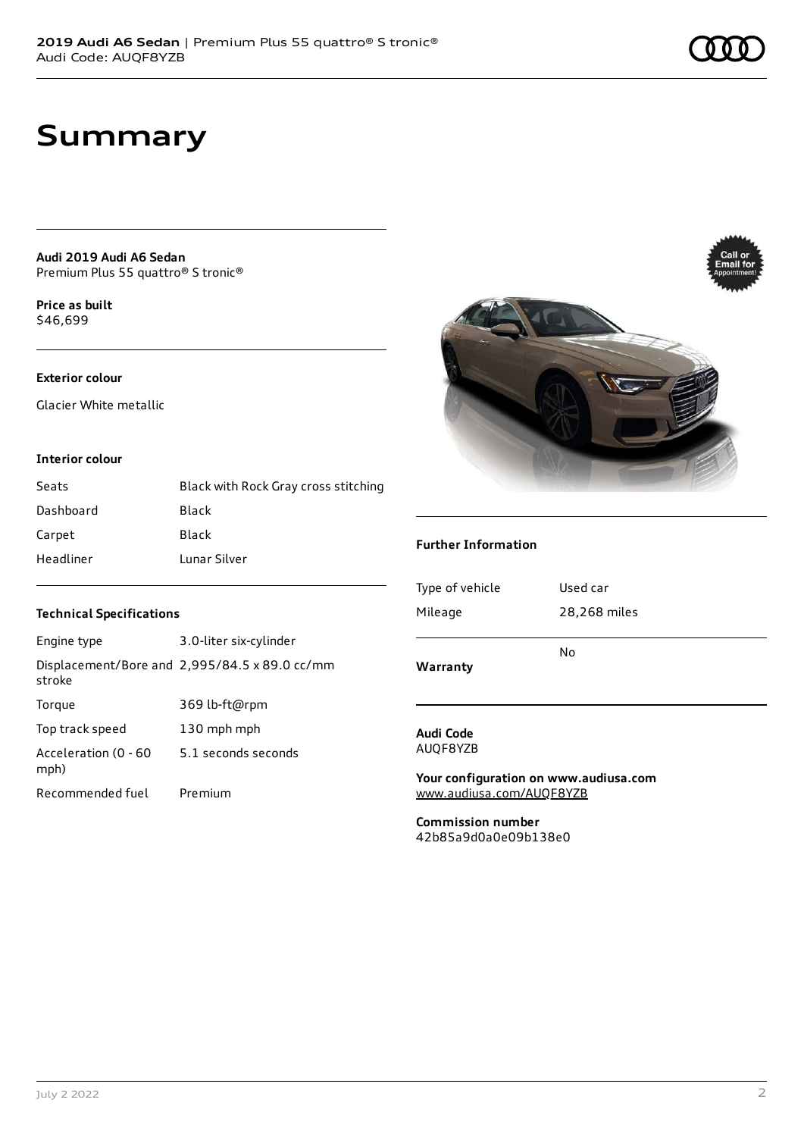## **Summary**

**Audi 2019 Audi A6 Sedan** Premium Plus 55 quattro® S tronic®

**Price as buil[t](#page-8-0)** \$46,699

### **Exterior colour**

Glacier White metallic

#### **Interior colour**

| Seats     | Black with Rock Gray cross stitching |
|-----------|--------------------------------------|
| Dashboard | Black                                |
| Carpet    | Black                                |
| Headliner | Lunar Silver                         |



| Engine type                  | 3.0-liter six-cylinder                        |
|------------------------------|-----------------------------------------------|
| stroke                       | Displacement/Bore and 2,995/84.5 x 89.0 cc/mm |
| Torque                       | 369 lb-ft@rpm                                 |
| Top track speed              | 130 mph mph                                   |
| Acceleration (0 - 60<br>mph) | 5.1 seconds seconds                           |
| Recommended fuel             | Premium                                       |



#### **Further Information**

| N٥           |
|--------------|
|              |
| 28,268 miles |
| Used car     |
|              |

#### **Audi Code** AUQF8YZB

**Your configuration on www.audiusa.com** [www.audiusa.com/AUQF8YZB](https://www.audiusa.com/AUQF8YZB)

**Commission number** 42b85a9d0a0e09b138e0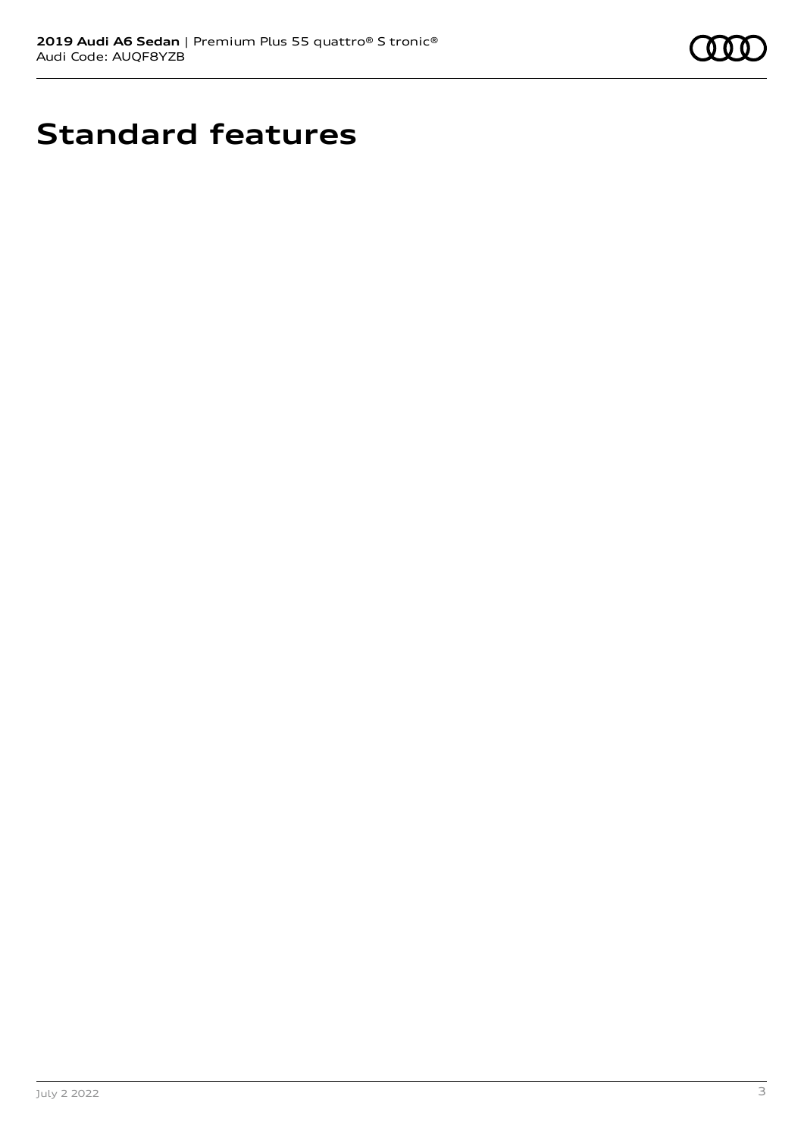

# **Standard features**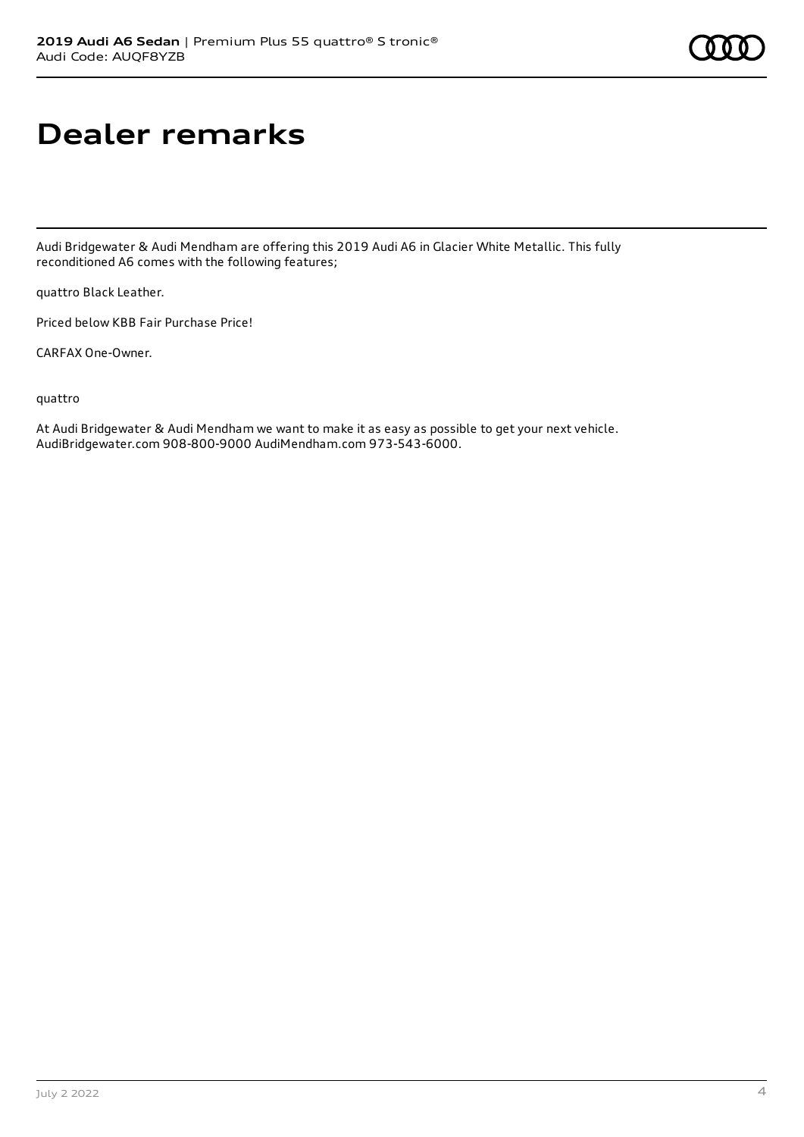# **Dealer remarks**

Audi Bridgewater & Audi Mendham are offering this 2019 Audi A6 in Glacier White Metallic. This fully reconditioned A6 comes with the following features;

quattro Black Leather.

Priced below KBB Fair Purchase Price!

CARFAX One-Owner.

quattro

At Audi Bridgewater & Audi Mendham we want to make it as easy as possible to get your next vehicle. AudiBridgewater.com 908-800-9000 AudiMendham.com 973-543-6000.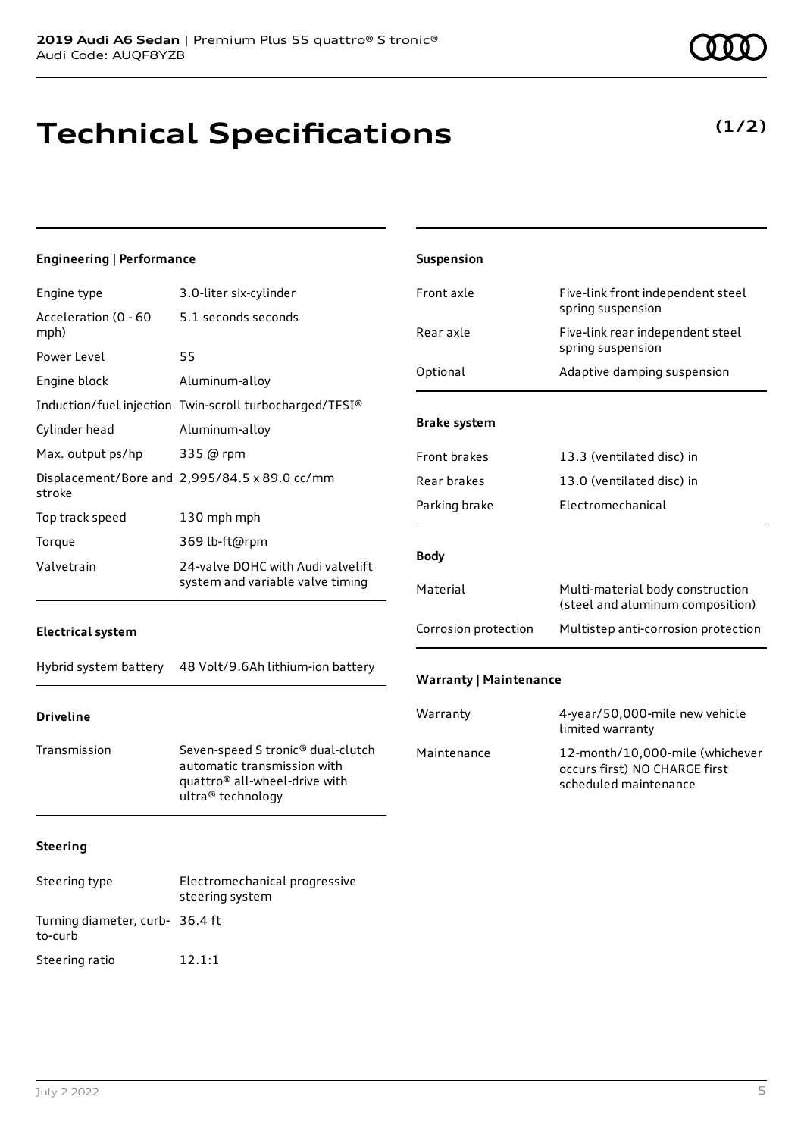# **Technical Specifications**

### **(1/2)**

| <b>Engineering   Performance</b> |                                                                                                                                    | Suspension                    |                                                                                           |
|----------------------------------|------------------------------------------------------------------------------------------------------------------------------------|-------------------------------|-------------------------------------------------------------------------------------------|
| Engine type                      | 3.0-liter six-cylinder                                                                                                             | Front axle                    | Five-link front independent steel                                                         |
| Acceleration (0 - 60<br>mph)     | 5.1 seconds seconds                                                                                                                | Rear axle                     | spring suspension<br>Five-link rear independent steel                                     |
| Power Level<br>Engine block      | 55<br>Aluminum-alloy                                                                                                               | Optional                      | spring suspension<br>Adaptive damping suspension                                          |
| Cylinder head                    | Induction/fuel injection Twin-scroll turbocharged/TFSI®<br>Aluminum-alloy                                                          | <b>Brake system</b>           |                                                                                           |
| Max. output ps/hp                | 335 @ rpm<br>Displacement/Bore and 2,995/84.5 x 89.0 cc/mm                                                                         | Front brakes<br>Rear brakes   | 13.3 (ventilated disc) in<br>13.0 (ventilated disc) in                                    |
| stroke<br>Top track speed        | 130 mph mph                                                                                                                        | Parking brake                 | Electromechanical                                                                         |
| Torque<br>Valvetrain             | 369 lb-ft@rpm<br>24-valve DOHC with Audi valvelift<br>system and variable valve timing                                             | <b>Body</b>                   |                                                                                           |
|                                  |                                                                                                                                    | Material                      | Multi-material body construction<br>(steel and aluminum composition)                      |
| <b>Electrical system</b>         |                                                                                                                                    | Corrosion protection          | Multistep anti-corrosion protection                                                       |
| Hybrid system battery            | 48 Volt/9.6Ah lithium-ion battery                                                                                                  | <b>Warranty   Maintenance</b> |                                                                                           |
| <b>Driveline</b>                 |                                                                                                                                    | Warranty                      | 4-year/50,000-mile new vehicle<br>limited warranty                                        |
| Transmission                     | Seven-speed S tronic® dual-clutch<br>automatic transmission with<br>quattro <sup>®</sup> all-wheel-drive with<br>ultra® technology | Maintenance                   | 12-month/10,000-mile (whichever<br>occurs first) NO CHARGE first<br>scheduled maintenance |
| <b>Steering</b>                  |                                                                                                                                    |                               |                                                                                           |
| Steering type                    | Electromechanical progressive<br>steering system                                                                                   |                               |                                                                                           |

Turning diameter, curb-36.4 ft

to-curb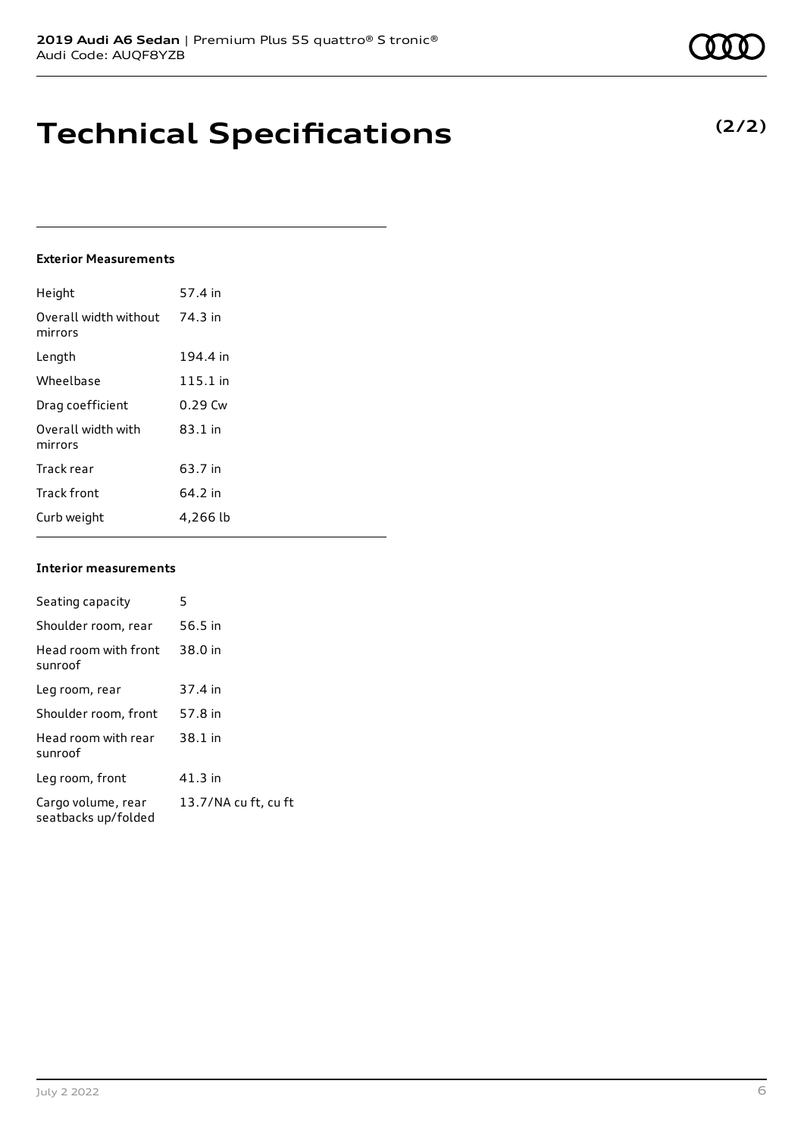### **Technical Specifications**

### **Exterior Measurements**

| Height                           | 57.4 in   |
|----------------------------------|-----------|
| Overall width without<br>mirrors | 74.3 in   |
| Length                           | 194.4 in  |
| Wheelbase                        | 115.1 in  |
| Drag coefficient                 | $0.29$ Cw |
| Overall width with<br>mirrors    | $83.1$ in |
| Track rear                       | 63.7 in   |
| <b>Track front</b>               | 64.2 in   |
| Curb weight                      | 4,266 lb  |

#### **Interior measurements**

| Seating capacity                          | 5                    |
|-------------------------------------------|----------------------|
|                                           |                      |
| Shoulder room, rear                       | 56.5 in              |
| Head room with front<br>sunroof           | 38.0 in              |
| Leg room, rear                            | 37.4 in              |
| Shoulder room, front                      | 57.8 in              |
| Head room with rear<br>sunroof            | 38.1 in              |
| Leg room, front                           | 41.3 in              |
| Cargo volume, rear<br>seatbacks up/folded | 13.7/NA cu ft, cu ft |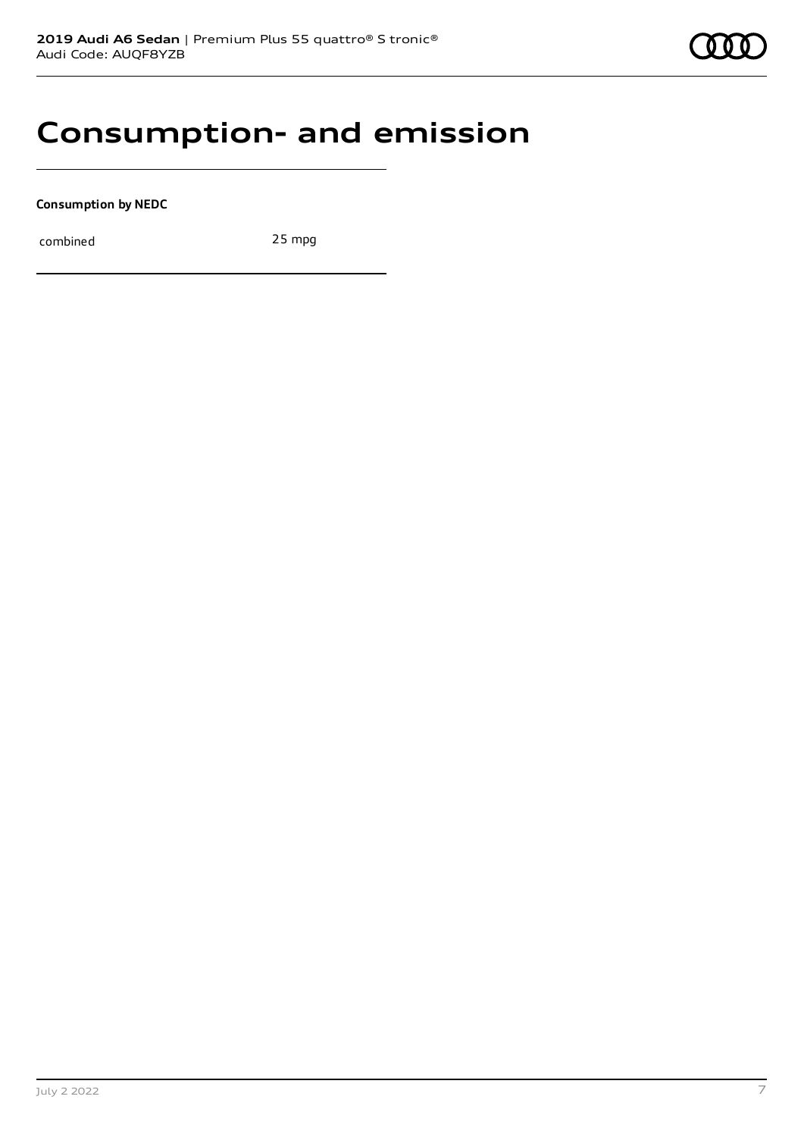### **Consumption- and emission**

**Consumption by NEDC**

combined 25 mpg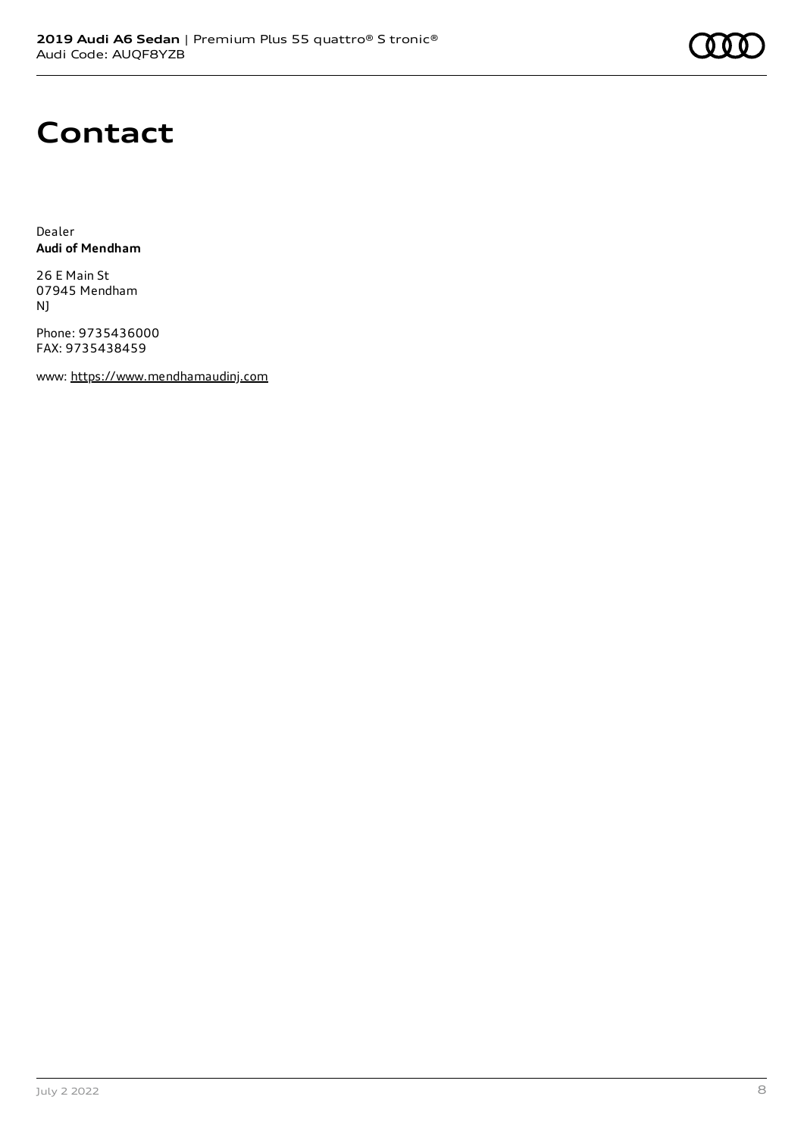## **Contact**

Dealer **Audi of Mendham**

26 E Main St 07945 Mendham NJ

Phone: 9735436000 FAX: 9735438459

www: [https://www.mendhamaudinj.com](https://www.mendhamaudinj.com/)